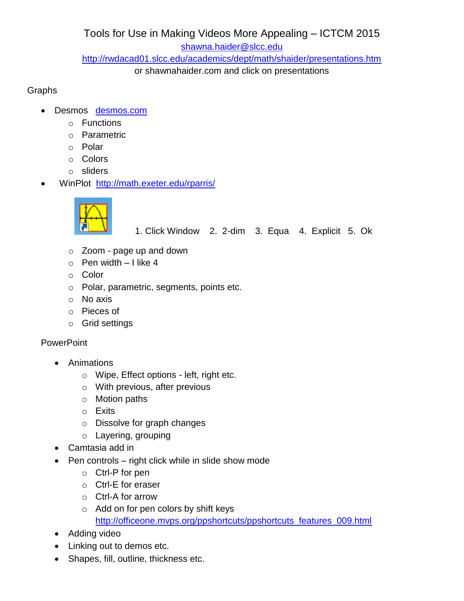Tools for Use in Making Videos More Appealing – ICTCM 2015 [shawna.haider@slcc.edu](mailto:shawna.haider@slcc.edu) <http://rwdacad01.slcc.edu/academics/dept/math/shaider/presentations.htm>

or shawnahaider.com and click on presentations

## Graphs

- Desmos [desmos.com](https://www.desmos.com/)
	- o Functions
	- o Parametric
	- o Polar
	- o Colors
	- o sliders
- WinPlot http://math.exeter.edu/rparris/



1. Click Window 2. 2-dim 3. Equa 4. Explicit 5. Ok

- o Zoom page up and down
- $\circ$  Pen width I like 4
- o Color
- o Polar, parametric, segments, points etc.
- o No axis
- o Pieces of
- o Grid settings

# **PowerPoint**

- Animations
	- o Wipe, Effect options left, right etc.
	- o With previous, after previous
	- o Motion paths
	- o Exits
	- o Dissolve for graph changes
	- o Layering, grouping
- Camtasia add in
- $\bullet$  Pen controls right click while in slide show mode
	- o Ctrl-P for pen
	- o Ctrl-E for eraser
	- o Ctrl-A for arrow
	- o Add on for pen colors by shift keys [http://officeone.mvps.org/ppshortcuts/ppshortcuts\\_features\\_009.html](http://officeone.mvps.org/ppshortcuts/ppshortcuts_features_009.html)
- Adding video
- Linking out to demos etc.
- Shapes, fill, outline, thickness etc.